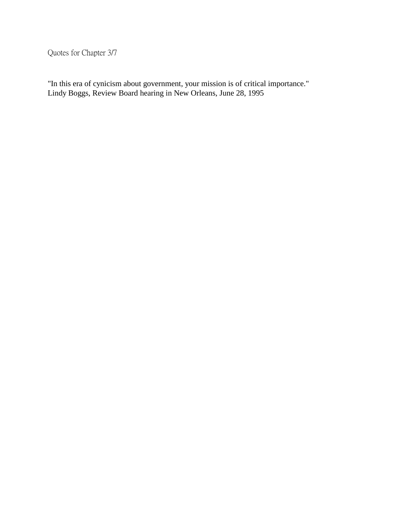Quotes for Chapter 3/7

"In this era of cynicism about government, your mission is of critical importance." Lindy Boggs, Review Board hearing in New Orleans, June 28, 1995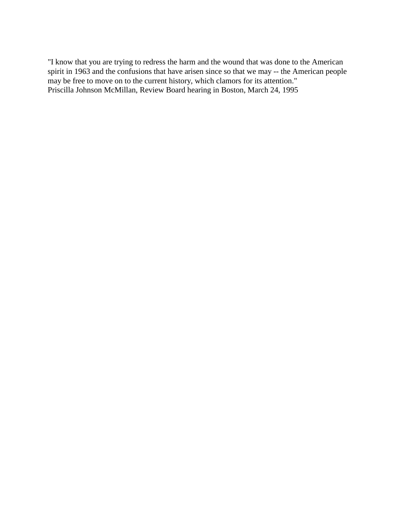"I know that you are trying to redress the harm and the wound that was done to the American spirit in 1963 and the confusions that have arisen since so that we may -- the American people may be free to move on to the current history, which clamors for its attention." Priscilla Johnson McMillan, Review Board hearing in Boston, March 24, 1995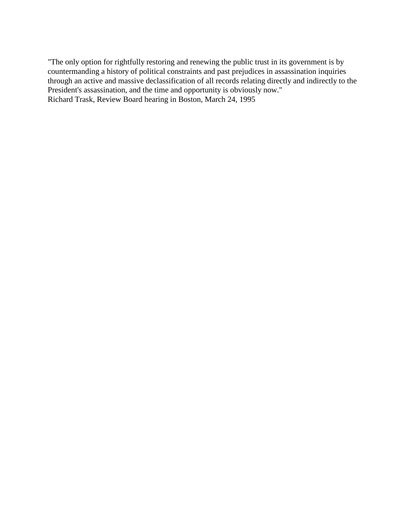"The only option for rightfully restoring and renewing the public trust in its government is by countermanding a history of political constraints and past prejudices in assassination inquiries through an active and massive declassification of all records relating directly and indirectly to the President's assassination, and the time and opportunity is obviously now." Richard Trask, Review Board hearing in Boston, March 24, 1995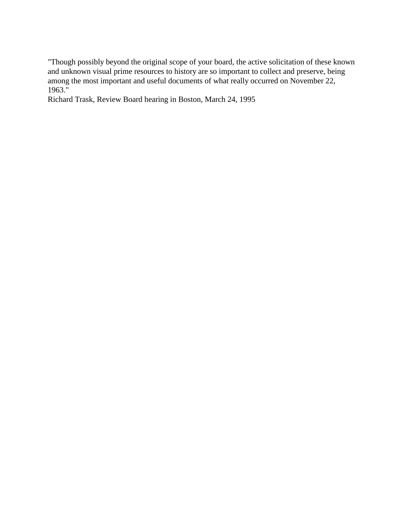"Though possibly beyond the original scope of your board, the active solicitation of these known and unknown visual prime resources to history are so important to collect and preserve, being among the most important and useful documents of what really occurred on November 22, 1963."

Richard Trask, Review Board hearing in Boston, March 24, 1995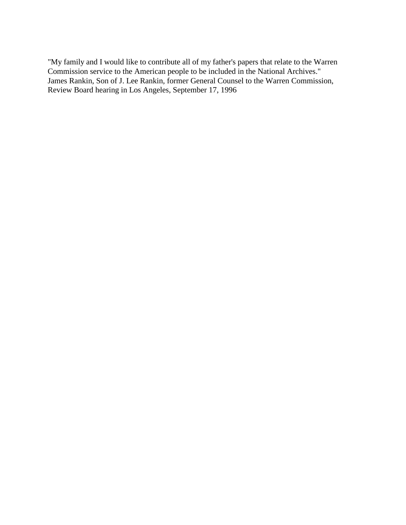"My family and I would like to contribute all of my father's papers that relate to the Warren Commission service to the American people to be included in the National Archives." James Rankin, Son of J. Lee Rankin, former General Counsel to the Warren Commission, Review Board hearing in Los Angeles, September 17, 1996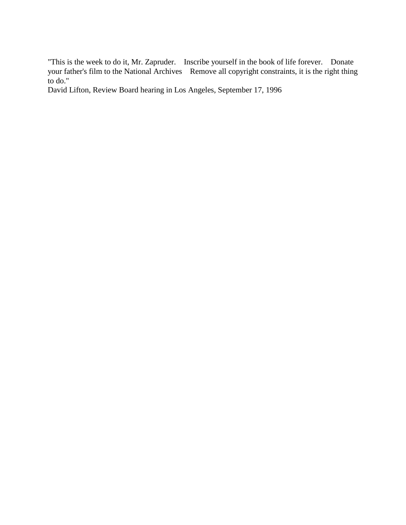"This is the week to do it, Mr. Zapruder. Inscribe yourself in the book of life forever. Donate your father's film to the National Archives Remove all copyright constraints, it is the right thing to do."

David Lifton, Review Board hearing in Los Angeles, September 17, 1996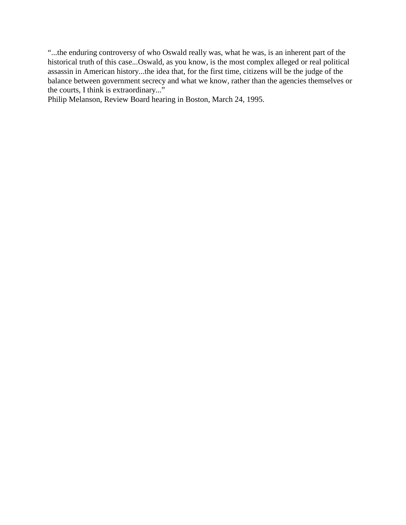"...the enduring controversy of who Oswald really was, what he was, is an inherent part of the historical truth of this case...Oswald, as you know, is the most complex alleged or real political assassin in American history...the idea that, for the first time, citizens will be the judge of the balance between government secrecy and what we know, rather than the agencies themselves or the courts, I think is extraordinary..."

Philip Melanson, Review Board hearing in Boston, March 24, 1995.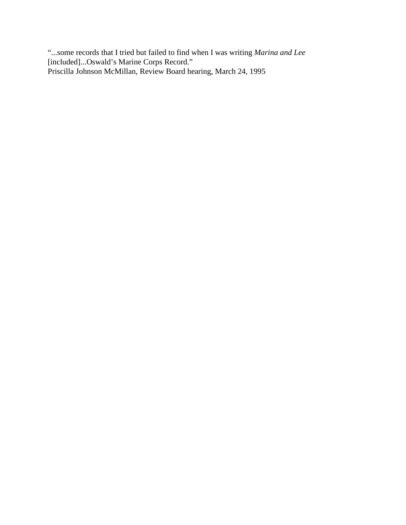"...some records that I tried but failed to find when I was writing *Marina and Lee* [included]...Oswald's Marine Corps Record." Priscilla Johnson McMillan, Review Board hearing, March 24, 1995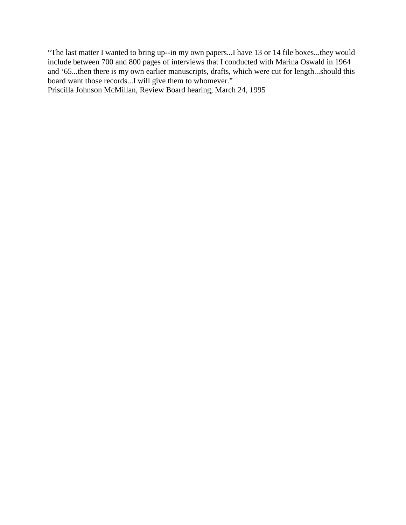"The last matter I wanted to bring up--in my own papers...I have 13 or 14 file boxes...they would include between 700 and 800 pages of interviews that I conducted with Marina Oswald in 1964 and '65...then there is my own earlier manuscripts, drafts, which were cut for length...should this board want those records...I will give them to whomever."

Priscilla Johnson McMillan, Review Board hearing, March 24, 1995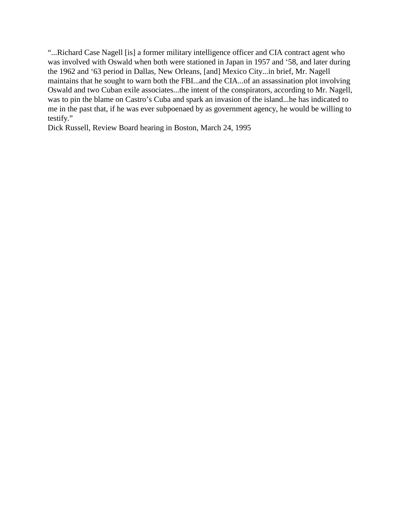"...Richard Case Nagell [is] a former military intelligence officer and CIA contract agent who was involved with Oswald when both were stationed in Japan in 1957 and '58, and later during the 1962 and '63 period in Dallas, New Orleans, [and] Mexico City...in brief, Mr. Nagell maintains that he sought to warn both the FBI...and the CIA...of an assassination plot involving Oswald and two Cuban exile associates...the intent of the conspirators, according to Mr. Nagell, was to pin the blame on Castro's Cuba and spark an invasion of the island...he has indicated to me in the past that, if he was ever subpoenaed by as government agency, he would be willing to testify."

Dick Russell, Review Board hearing in Boston, March 24, 1995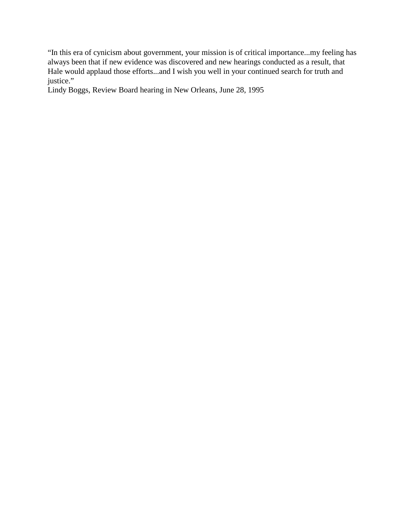"In this era of cynicism about government, your mission is of critical importance...my feeling has always been that if new evidence was discovered and new hearings conducted as a result, that Hale would applaud those efforts...and I wish you well in your continued search for truth and justice."

Lindy Boggs, Review Board hearing in New Orleans, June 28, 1995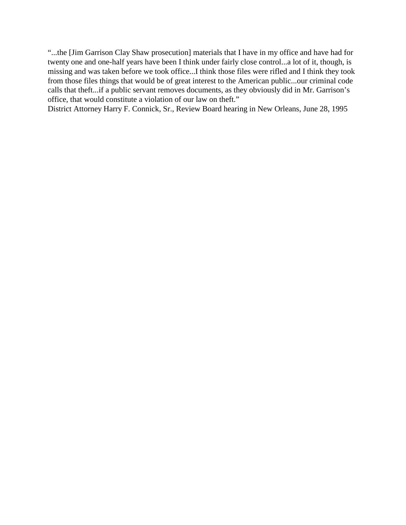"...the [Jim Garrison Clay Shaw prosecution] materials that I have in my office and have had for twenty one and one-half years have been I think under fairly close control...a lot of it, though, is missing and was taken before we took office...I think those files were rifled and I think they took from those files things that would be of great interest to the American public...our criminal code calls that theft...if a public servant removes documents, as they obviously did in Mr. Garrison's office, that would constitute a violation of our law on theft."

District Attorney Harry F. Connick, Sr., Review Board hearing in New Orleans, June 28, 1995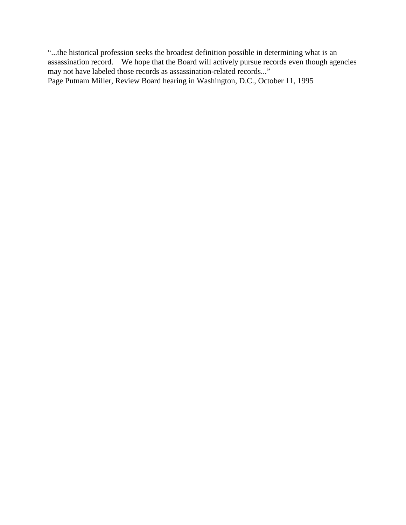"...the historical profession seeks the broadest definition possible in determining what is an assassination record. We hope that the Board will actively pursue records even though agencies may not have labeled those records as assassination-related records..." Page Putnam Miller, Review Board hearing in Washington, D.C., October 11, 1995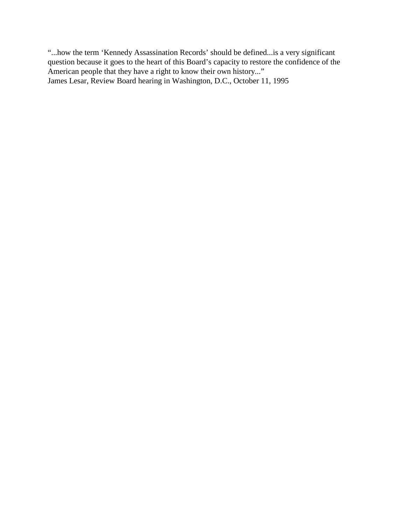"...how the term 'Kennedy Assassination Records' should be defined...is a very significant question because it goes to the heart of this Board's capacity to restore the confidence of the American people that they have a right to know their own history..." James Lesar, Review Board hearing in Washington, D.C., October 11, 1995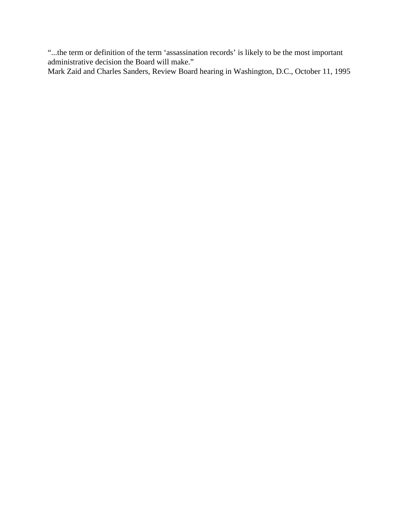"...the term or definition of the term 'assassination records' is likely to be the most important administrative decision the Board will make."

Mark Zaid and Charles Sanders, Review Board hearing in Washington, D.C., October 11, 1995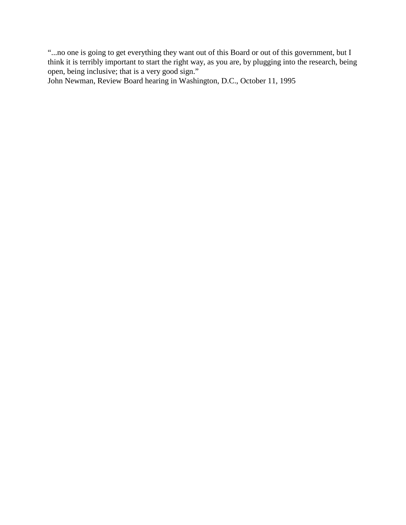"...no one is going to get everything they want out of this Board or out of this government, but I think it is terribly important to start the right way, as you are, by plugging into the research, being open, being inclusive; that is a very good sign."

John Newman, Review Board hearing in Washington, D.C., October 11, 1995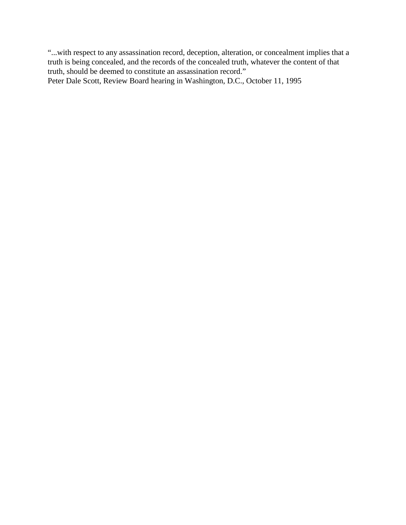"...with respect to any assassination record, deception, alteration, or concealment implies that a truth is being concealed, and the records of the concealed truth, whatever the content of that truth, should be deemed to constitute an assassination record." Peter Dale Scott, Review Board hearing in Washington, D.C., October 11, 1995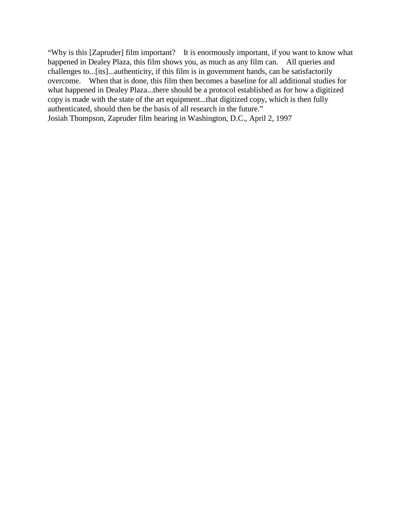"Why is this [Zapruder] film important? It is enormously important, if you want to know what happened in Dealey Plaza, this film shows you, as much as any film can. All queries and challenges to...[its]...authenticity, if this film is in government hands, can be satisfactorily overcome. When that is done, this film then becomes a baseline for all additional studies for what happened in Dealey Plaza...there should be a protocol established as for how a digitized copy is made with the state of the art equipment...that digitized copy, which is then fully authenticated, should then be the basis of all research in the future." Josiah Thompson, Zapruder film hearing in Washington, D.C., April 2, 1997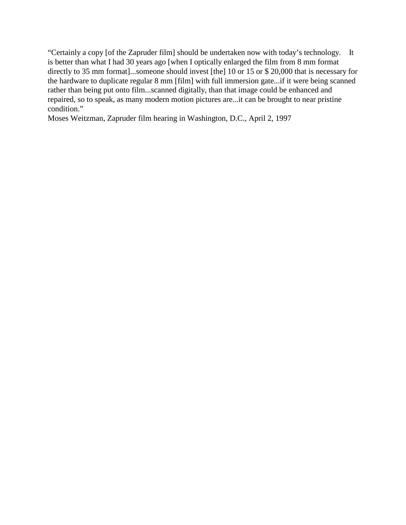"Certainly a copy [of the Zapruder film] should be undertaken now with today's technology. It is better than what I had 30 years ago [when I optically enlarged the film from 8 mm format directly to 35 mm format]...someone should invest [the] 10 or 15 or \$ 20,000 that is necessary for the hardware to duplicate regular 8 mm [film] with full immersion gate...if it were being scanned rather than being put onto film...scanned digitally, than that image could be enhanced and repaired, so to speak, as many modern motion pictures are...it can be brought to near pristine condition."

Moses Weitzman, Zapruder film hearing in Washington, D.C., April 2, 1997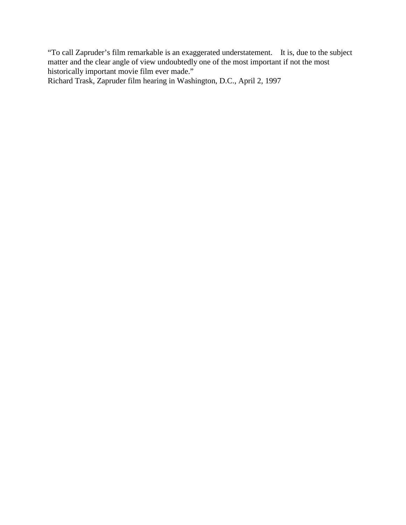"To call Zapruder's film remarkable is an exaggerated understatement. It is, due to the subject matter and the clear angle of view undoubtedly one of the most important if not the most historically important movie film ever made."

Richard Trask, Zapruder film hearing in Washington, D.C., April 2, 1997